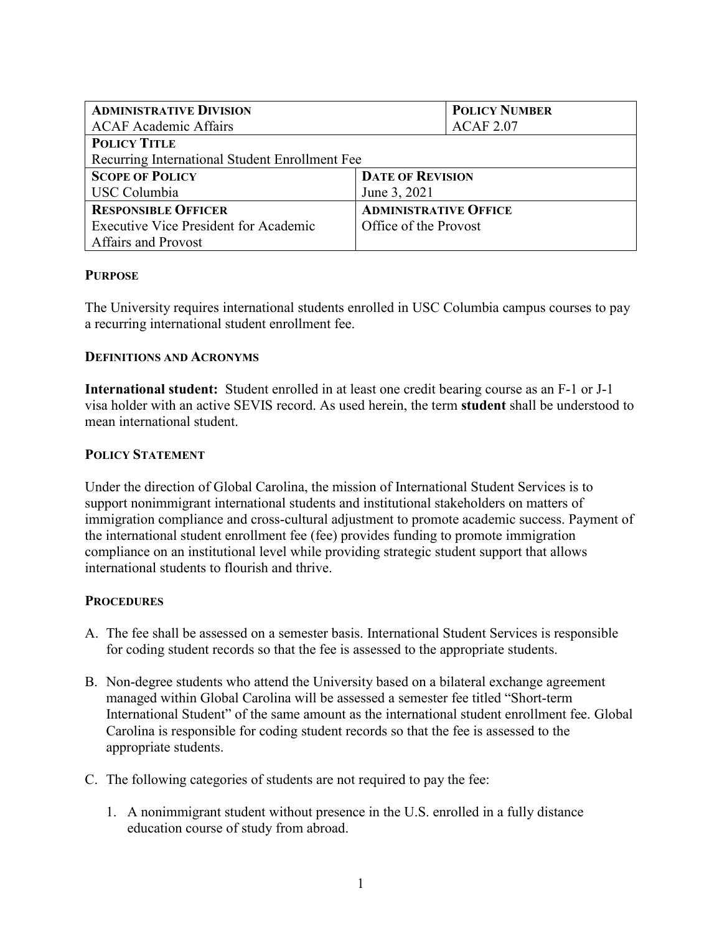| <b>ADMINISTRATIVE DIVISION</b>                 |                              | <b>POLICY NUMBER</b> |  |
|------------------------------------------------|------------------------------|----------------------|--|
| <b>ACAF Academic Affairs</b>                   |                              | <b>ACAF 2.07</b>     |  |
| <b>POLICY TITLE</b>                            |                              |                      |  |
| Recurring International Student Enrollment Fee |                              |                      |  |
| <b>SCOPE OF POLICY</b>                         | <b>DATE OF REVISION</b>      |                      |  |
| <b>USC</b> Columbia                            | June 3, 2021                 |                      |  |
| <b>RESPONSIBLE OFFICER</b>                     | <b>ADMINISTRATIVE OFFICE</b> |                      |  |
| <b>Executive Vice President for Academic</b>   | Office of the Provost        |                      |  |
| <b>Affairs and Provost</b>                     |                              |                      |  |

# **PURPOSE**

The University requires international students enrolled in USC Columbia campus courses to pay a recurring international student enrollment fee.

# **DEFINITIONS AND ACRONYMS**

**International student:** Student enrolled in at least one credit bearing course as an F-1 or J-1 visa holder with an active SEVIS record. As used herein, the term **student** shall be understood to mean international student.

## **POLICY STATEMENT**

Under the direction of Global Carolina, the mission of International Student Services is to support nonimmigrant international students and institutional stakeholders on matters of immigration compliance and cross-cultural adjustment to promote academic success. Payment of the international student enrollment fee (fee) provides funding to promote immigration compliance on an institutional level while providing strategic student support that allows international students to flourish and thrive.

## **PROCEDURES**

- A. The fee shall be assessed on a semester basis. International Student Services is responsible for coding student records so that the fee is assessed to the appropriate students.
- B. Non-degree students who attend the University based on a bilateral exchange agreement managed within Global Carolina will be assessed a semester fee titled "Short-term International Student" of the same amount as the international student enrollment fee. Global Carolina is responsible for coding student records so that the fee is assessed to the appropriate students.
- C. The following categories of students are not required to pay the fee:
	- 1. A nonimmigrant student without presence in the U.S. enrolled in a fully distance education course of study from abroad.